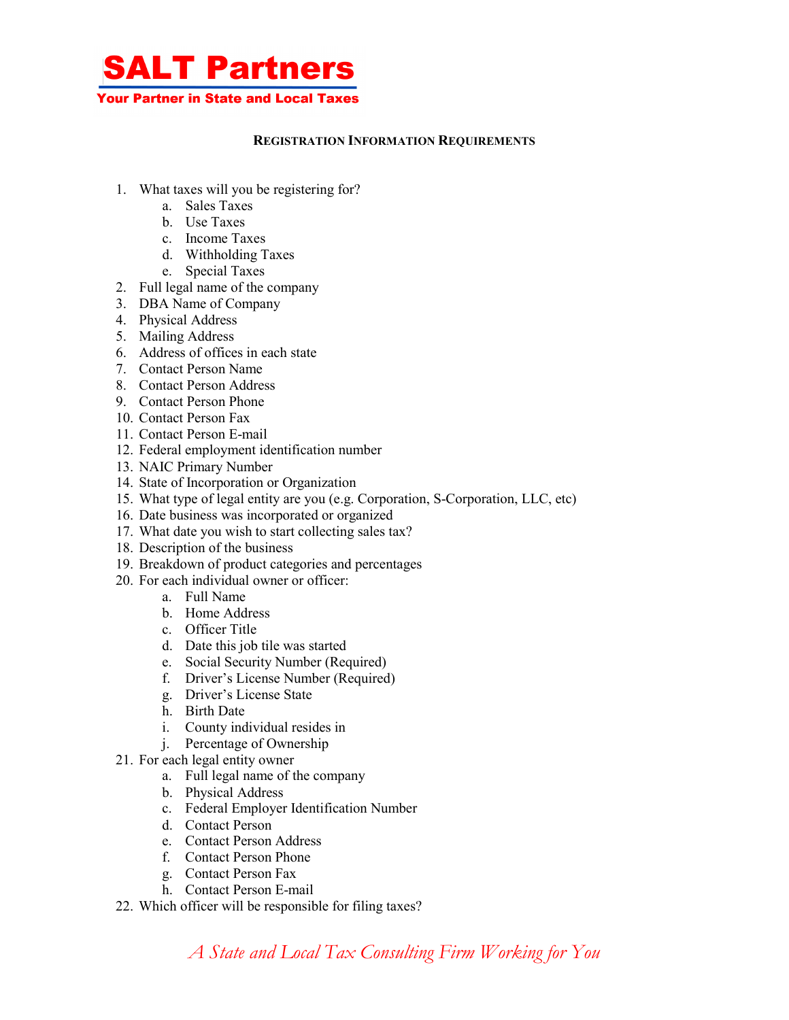

## **REGISTRATION INFORMATION REQUIREMENTS**

- 1. What taxes will you be registering for?
	- a. Sales Taxes
	- b. Use Taxes
	- c. Income Taxes
	- d. Withholding Taxes
	- e. Special Taxes
- 2. Full legal name of the company
- 3. DBA Name of Company
- 4. Physical Address
- 5. Mailing Address
- 6. Address of offices in each state
- 7. Contact Person Name
- 8. Contact Person Address
- 9. Contact Person Phone
- 10. Contact Person Fax
- 11. Contact Person E-mail
- 12. Federal employment identification number
- 13. NAIC Primary Number
- 14. State of Incorporation or Organization
- 15. What type of legal entity are you (e.g. Corporation, S-Corporation, LLC, etc)
- 16. Date business was incorporated or organized
- 17. What date you wish to start collecting sales tax?
- 18. Description of the business
- 19. Breakdown of product categories and percentages
- 20. For each individual owner or officer:
	- a. Full Name
	- b. Home Address
	- c. Officer Title
	- d. Date this job tile was started
	- e. Social Security Number (Required)
	- f. Driver's License Number (Required)
	- g. Driver's License State
	- h. Birth Date
	- i. County individual resides in
	- j. Percentage of Ownership
- 21. For each legal entity owner
	- a. Full legal name of the company
	- b. Physical Address
	- c. Federal Employer Identification Number
	- d. Contact Person
	- e. Contact Person Address
	- f. Contact Person Phone
	- g. Contact Person Fax
	- h. Contact Person E-mail
- 22. Which officer will be responsible for filing taxes?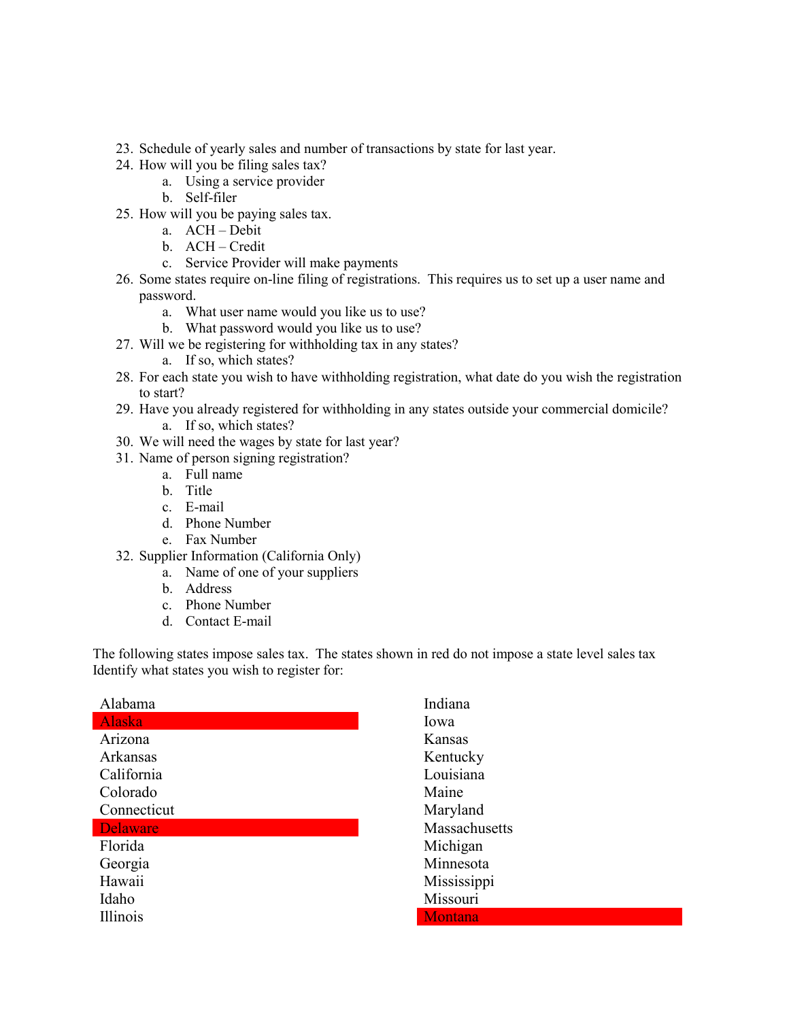- 23. Schedule of yearly sales and number of transactions by state for last year.
- 24. How will you be filing sales tax?
	- a. Using a service provider
	- b. Self-filer
- 25. How will you be paying sales tax.
	- a. ACH Debit
	- b. ACH Credit
	- c. Service Provider will make payments
- 26. Some states require on-line filing of registrations. This requires us to set up a user name and password.
	- a. What user name would you like us to use?
	- b. What password would you like us to use?
- 27. Will we be registering for withholding tax in any states?
	- a. If so, which states?
- 28. For each state you wish to have withholding registration, what date do you wish the registration to start?
- 29. Have you already registered for withholding in any states outside your commercial domicile? a. If so, which states?
- 30. We will need the wages by state for last year?
- 31. Name of person signing registration?
	- a. Full name
	- b. Title
	- c. E-mail
	- d. Phone Number
	- e. Fax Number
- 32. Supplier Information (California Only)
	- a. Name of one of your suppliers
	- b. Address
	- c. Phone Number
	- d. Contact E-mail

The following states impose sales tax. The states shown in red do not impose a state level sales tax Identify what states you wish to register for:

| Alabama         |
|-----------------|
| Alaska          |
| Arizona         |
| Arkansas        |
| California      |
| Colorado        |
| Connecticut     |
| <b>Delaware</b> |
| Florida         |
| Georgia         |
| Hawaii          |
| Idaho           |
| <b>Illinois</b> |

Indiana Iowa Kansas Kentucky Louisiana Maine Maryland Massachusetts Michigan Minnesota Mississippi Missouri **Montana**